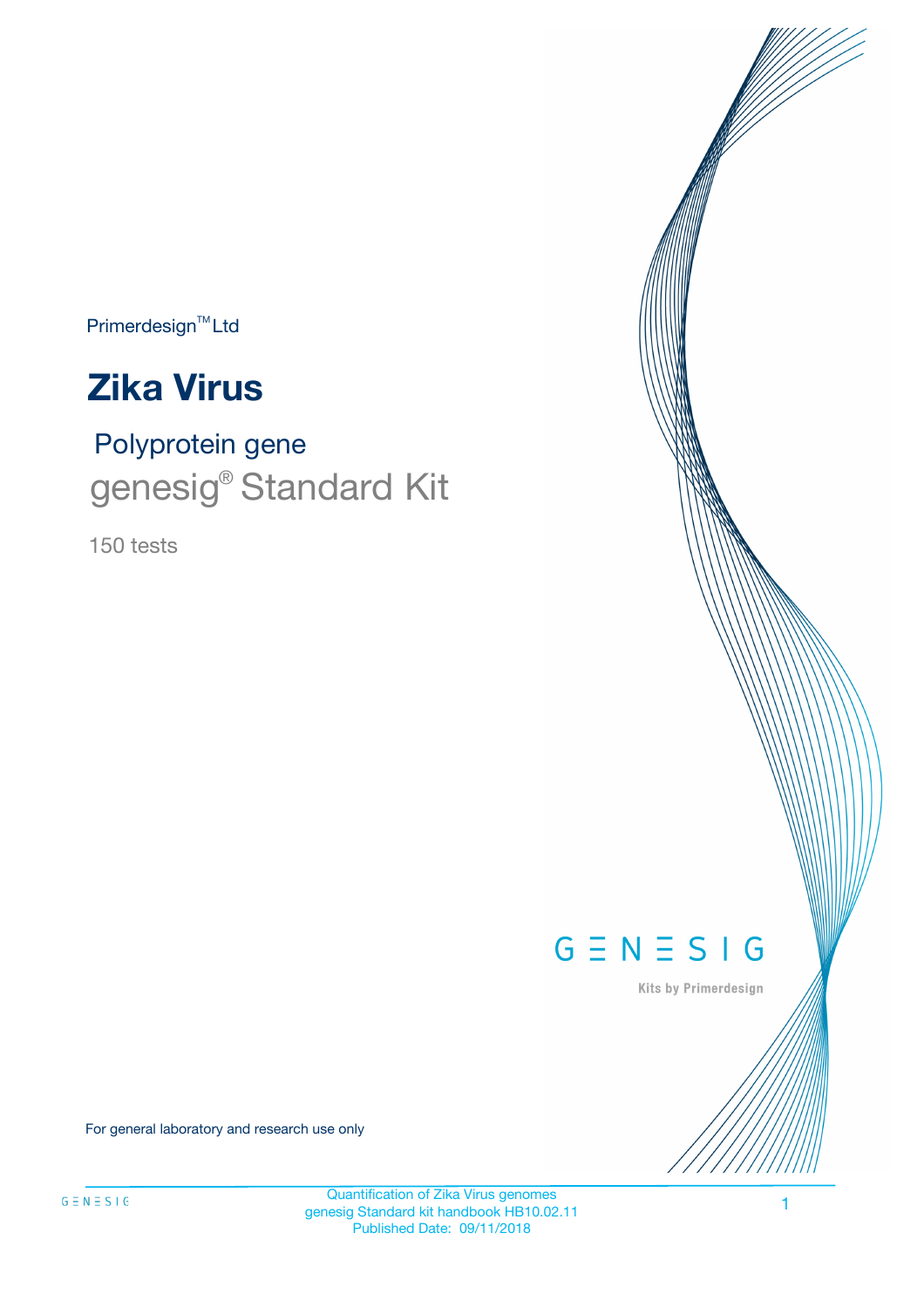Primerdesign<sup>™</sup>Ltd



# Polyprotein gene genesig<sup>®</sup> Standard Kit

150 tests



Kits by Primerdesign

For general laboratory and research use only

Quantification of Zika Virus genomes genesig Standard kit handbook HB10.02.11 Published Date: 09/11/2018

1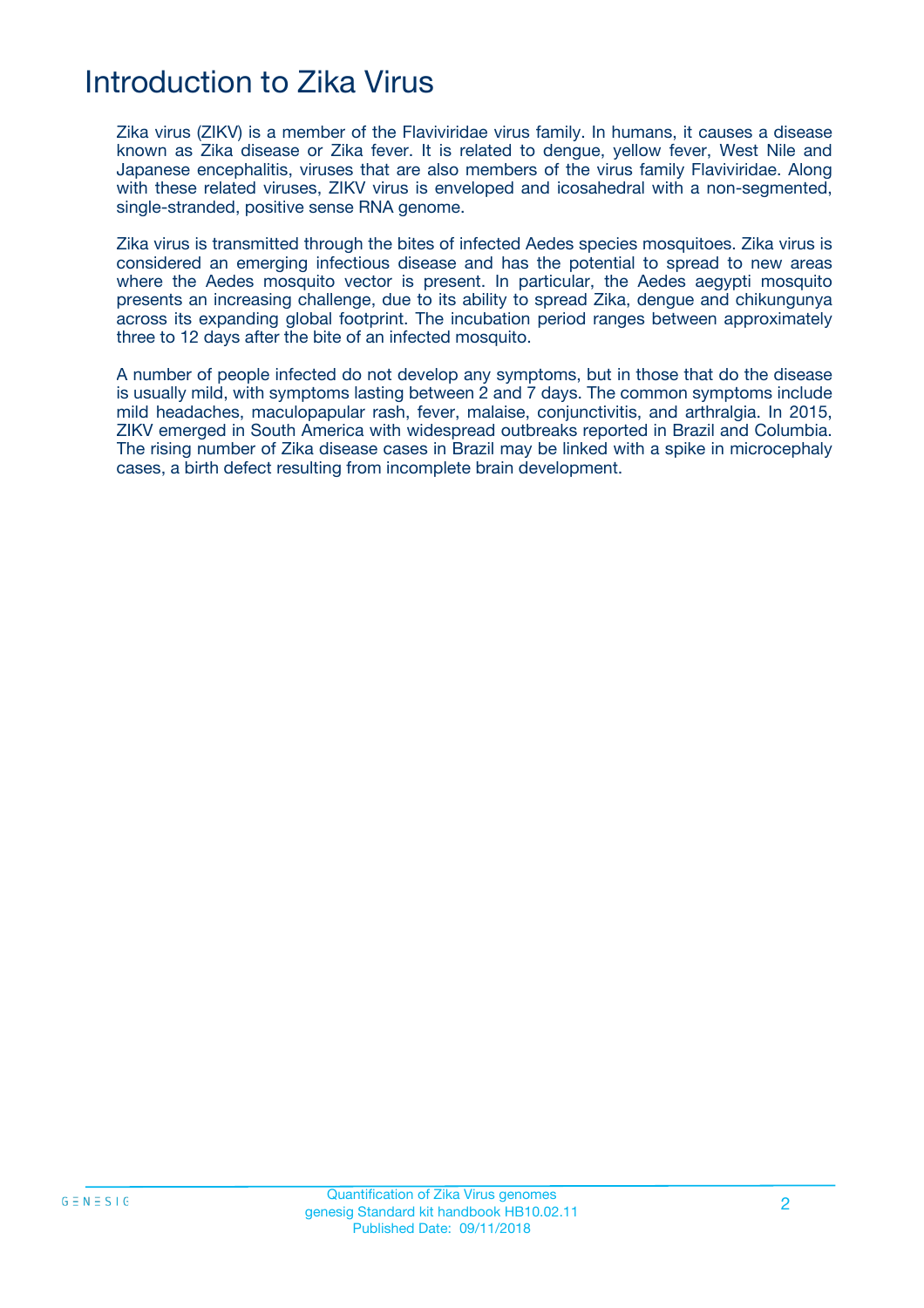## Introduction to Zika Virus

Zika virus (ZIKV) is a member of the Flaviviridae virus family. In humans, it causes a disease known as Zika disease or Zika fever. It is related to dengue, yellow fever, West Nile and Japanese encephalitis, viruses that are also members of the virus family Flaviviridae. Along with these related viruses, ZIKV virus is enveloped and icosahedral with a non-segmented, single-stranded, positive sense RNA genome.

Zika virus is transmitted through the bites of infected Aedes species mosquitoes. Zika virus is considered an emerging infectious disease and has the potential to spread to new areas where the Aedes mosquito vector is present. In particular, the Aedes aegypti mosquito presents an increasing challenge, due to its ability to spread Zika, dengue and chikungunya across its expanding global footprint. The incubation period ranges between approximately three to 12 days after the bite of an infected mosquito.

A number of people infected do not develop any symptoms, but in those that do the disease is usually mild, with symptoms lasting between 2 and 7 days. The common symptoms include mild headaches, maculopapular rash, fever, malaise, conjunctivitis, and arthralgia. In 2015, ZIKV emerged in South America with widespread outbreaks reported in Brazil and Columbia. The rising number of Zika disease cases in Brazil may be linked with a spike in microcephaly cases, a birth defect resulting from incomplete brain development.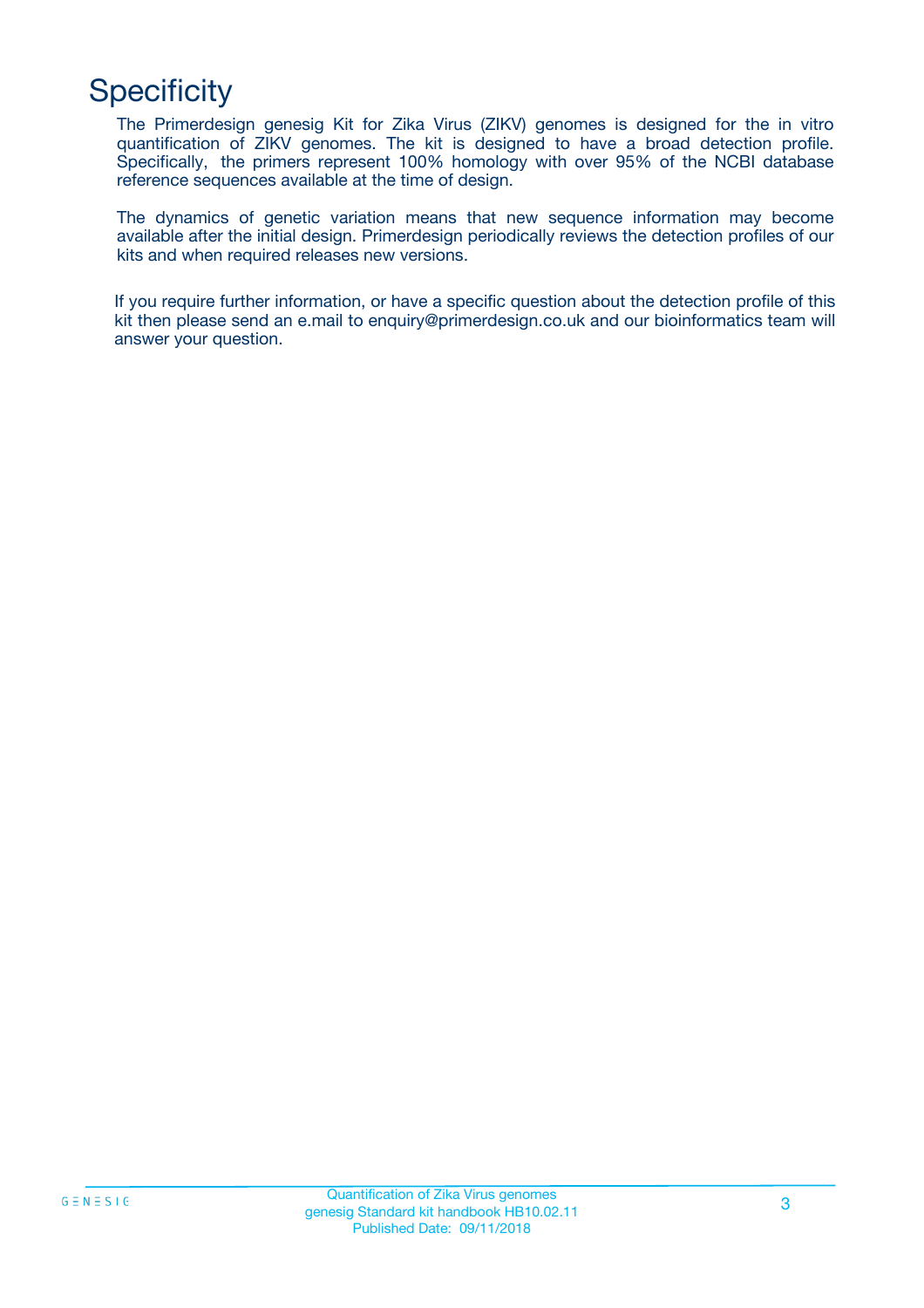## **Specificity**

The Primerdesign genesig Kit for Zika Virus (ZIKV) genomes is designed for the in vitro quantification of ZIKV genomes. The kit is designed to have a broad detection profile. Specifically, the primers represent 100% homology with over 95% of the NCBI database reference sequences available at the time of design.

The dynamics of genetic variation means that new sequence information may become available after the initial design. Primerdesign periodically reviews the detection profiles of our kits and when required releases new versions.

If you require further information, or have a specific question about the detection profile of this kit then please send an e.mail to enquiry@primerdesign.co.uk and our bioinformatics team will answer your question.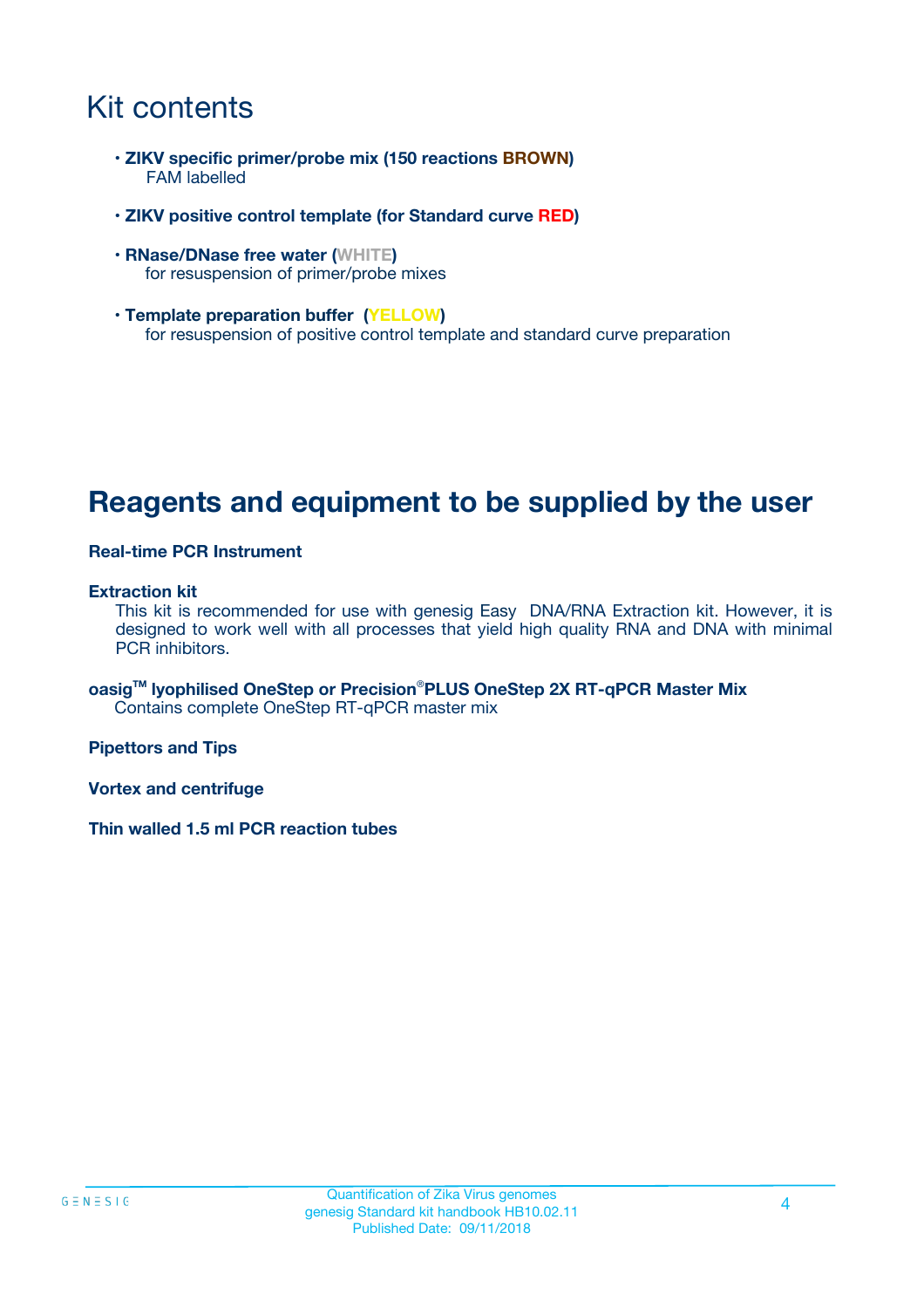## Kit contents

- **ZIKV specific primer/probe mix (150 reactions BROWN)** FAM labelled
- **ZIKV positive control template (for Standard curve RED)**
- **RNase/DNase free water (WHITE)** for resuspension of primer/probe mixes
- **Template preparation buffer (YELLOW)** for resuspension of positive control template and standard curve preparation

### **Reagents and equipment to be supplied by the user**

#### **Real-time PCR Instrument**

#### **Extraction kit**

This kit is recommended for use with genesig Easy DNA/RNA Extraction kit. However, it is designed to work well with all processes that yield high quality RNA and DNA with minimal PCR inhibitors.

**oasigTM lyophilised OneStep or Precision**®**PLUS OneStep 2X RT-qPCR Master Mix** Contains complete OneStep RT-qPCR master mix

**Pipettors and Tips**

**Vortex and centrifuge**

**Thin walled 1.5 ml PCR reaction tubes**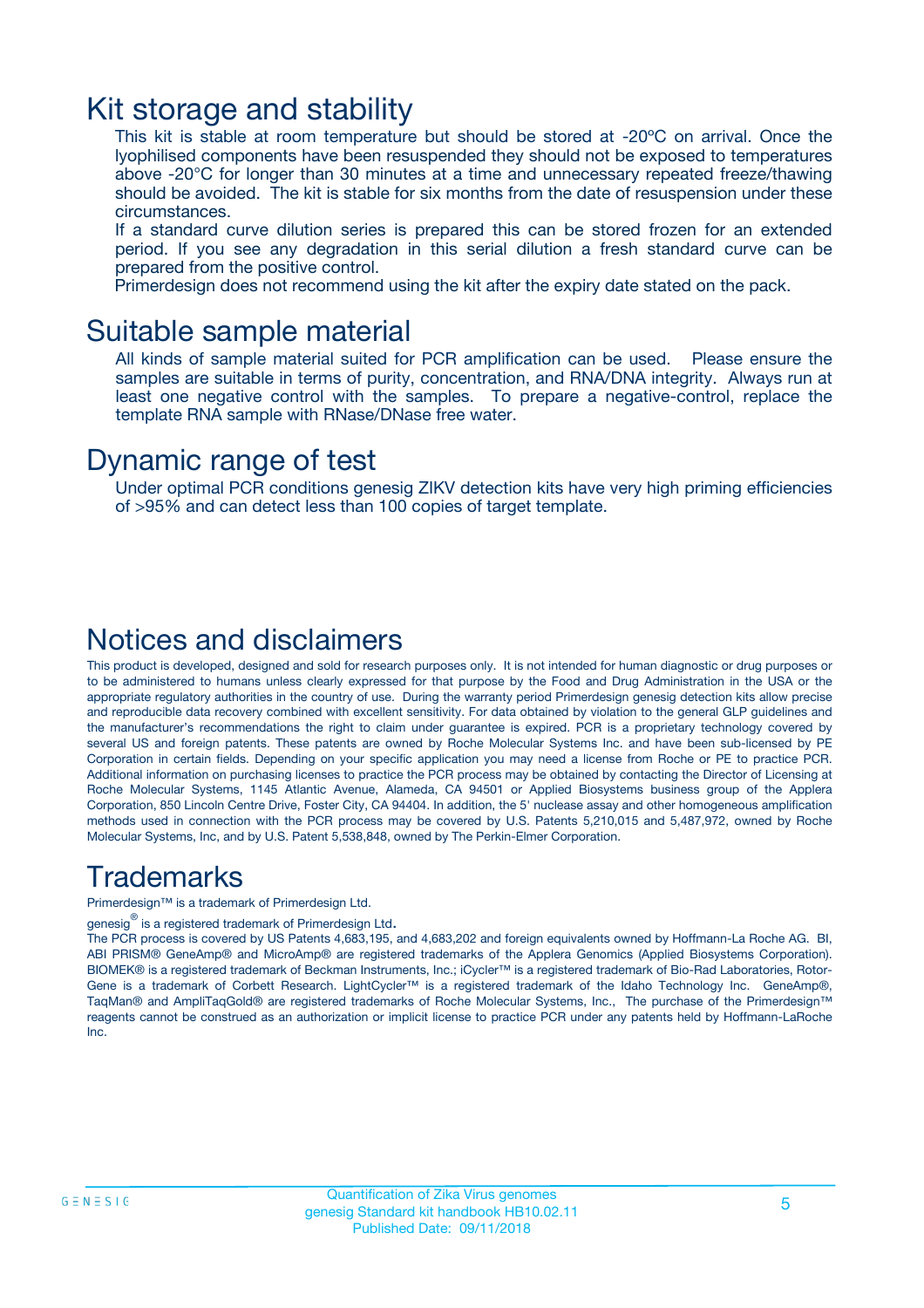### Kit storage and stability

This kit is stable at room temperature but should be stored at -20ºC on arrival. Once the lyophilised components have been resuspended they should not be exposed to temperatures above -20°C for longer than 30 minutes at a time and unnecessary repeated freeze/thawing should be avoided. The kit is stable for six months from the date of resuspension under these circumstances.

If a standard curve dilution series is prepared this can be stored frozen for an extended period. If you see any degradation in this serial dilution a fresh standard curve can be prepared from the positive control.

Primerdesign does not recommend using the kit after the expiry date stated on the pack.

### Suitable sample material

All kinds of sample material suited for PCR amplification can be used. Please ensure the samples are suitable in terms of purity, concentration, and RNA/DNA integrity. Always run at least one negative control with the samples. To prepare a negative-control, replace the template RNA sample with RNase/DNase free water.

### Dynamic range of test

Under optimal PCR conditions genesig ZIKV detection kits have very high priming efficiencies of >95% and can detect less than 100 copies of target template.

### Notices and disclaimers

This product is developed, designed and sold for research purposes only. It is not intended for human diagnostic or drug purposes or to be administered to humans unless clearly expressed for that purpose by the Food and Drug Administration in the USA or the appropriate regulatory authorities in the country of use. During the warranty period Primerdesign genesig detection kits allow precise and reproducible data recovery combined with excellent sensitivity. For data obtained by violation to the general GLP guidelines and the manufacturer's recommendations the right to claim under guarantee is expired. PCR is a proprietary technology covered by several US and foreign patents. These patents are owned by Roche Molecular Systems Inc. and have been sub-licensed by PE Corporation in certain fields. Depending on your specific application you may need a license from Roche or PE to practice PCR. Additional information on purchasing licenses to practice the PCR process may be obtained by contacting the Director of Licensing at Roche Molecular Systems, 1145 Atlantic Avenue, Alameda, CA 94501 or Applied Biosystems business group of the Applera Corporation, 850 Lincoln Centre Drive, Foster City, CA 94404. In addition, the 5' nuclease assay and other homogeneous amplification methods used in connection with the PCR process may be covered by U.S. Patents 5,210,015 and 5,487,972, owned by Roche Molecular Systems, Inc, and by U.S. Patent 5,538,848, owned by The Perkin-Elmer Corporation.

### Trademarks

Primerdesign™ is a trademark of Primerdesign Ltd.

genesig $^\circledR$  is a registered trademark of Primerdesign Ltd.

The PCR process is covered by US Patents 4,683,195, and 4,683,202 and foreign equivalents owned by Hoffmann-La Roche AG. BI, ABI PRISM® GeneAmp® and MicroAmp® are registered trademarks of the Applera Genomics (Applied Biosystems Corporation). BIOMEK® is a registered trademark of Beckman Instruments, Inc.; iCycler™ is a registered trademark of Bio-Rad Laboratories, Rotor-Gene is a trademark of Corbett Research. LightCycler™ is a registered trademark of the Idaho Technology Inc. GeneAmp®, TaqMan® and AmpliTaqGold® are registered trademarks of Roche Molecular Systems, Inc., The purchase of the Primerdesign™ reagents cannot be construed as an authorization or implicit license to practice PCR under any patents held by Hoffmann-LaRoche Inc.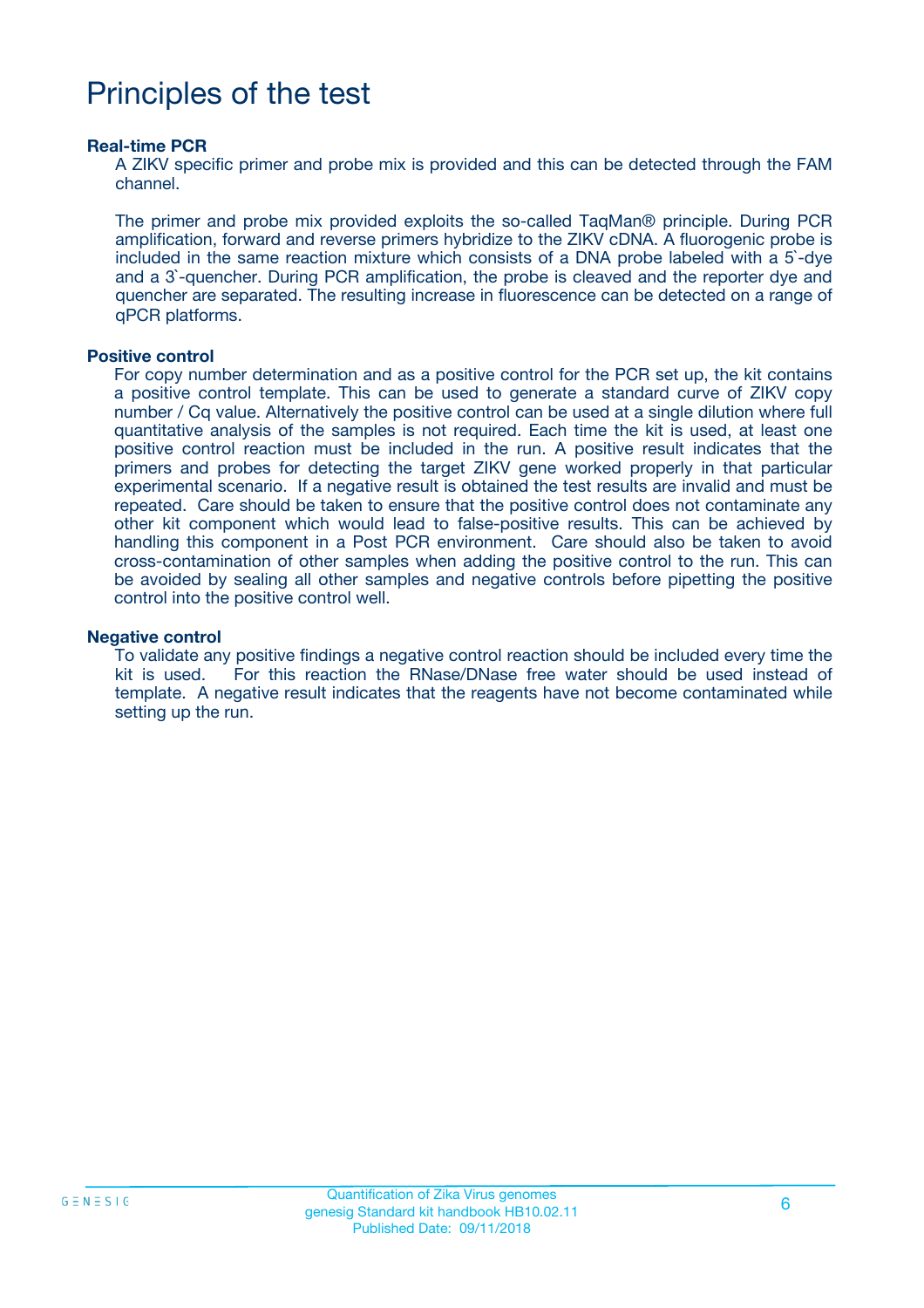## Principles of the test

#### **Real-time PCR**

A ZIKV specific primer and probe mix is provided and this can be detected through the FAM channel.

The primer and probe mix provided exploits the so-called TaqMan® principle. During PCR amplification, forward and reverse primers hybridize to the ZIKV cDNA. A fluorogenic probe is included in the same reaction mixture which consists of a DNA probe labeled with a 5`-dye and a 3`-quencher. During PCR amplification, the probe is cleaved and the reporter dye and quencher are separated. The resulting increase in fluorescence can be detected on a range of qPCR platforms.

#### **Positive control**

For copy number determination and as a positive control for the PCR set up, the kit contains a positive control template. This can be used to generate a standard curve of ZIKV copy number / Cq value. Alternatively the positive control can be used at a single dilution where full quantitative analysis of the samples is not required. Each time the kit is used, at least one positive control reaction must be included in the run. A positive result indicates that the primers and probes for detecting the target ZIKV gene worked properly in that particular experimental scenario. If a negative result is obtained the test results are invalid and must be repeated. Care should be taken to ensure that the positive control does not contaminate any other kit component which would lead to false-positive results. This can be achieved by handling this component in a Post PCR environment. Care should also be taken to avoid cross-contamination of other samples when adding the positive control to the run. This can be avoided by sealing all other samples and negative controls before pipetting the positive control into the positive control well.

#### **Negative control**

To validate any positive findings a negative control reaction should be included every time the kit is used. For this reaction the RNase/DNase free water should be used instead of template. A negative result indicates that the reagents have not become contaminated while setting up the run.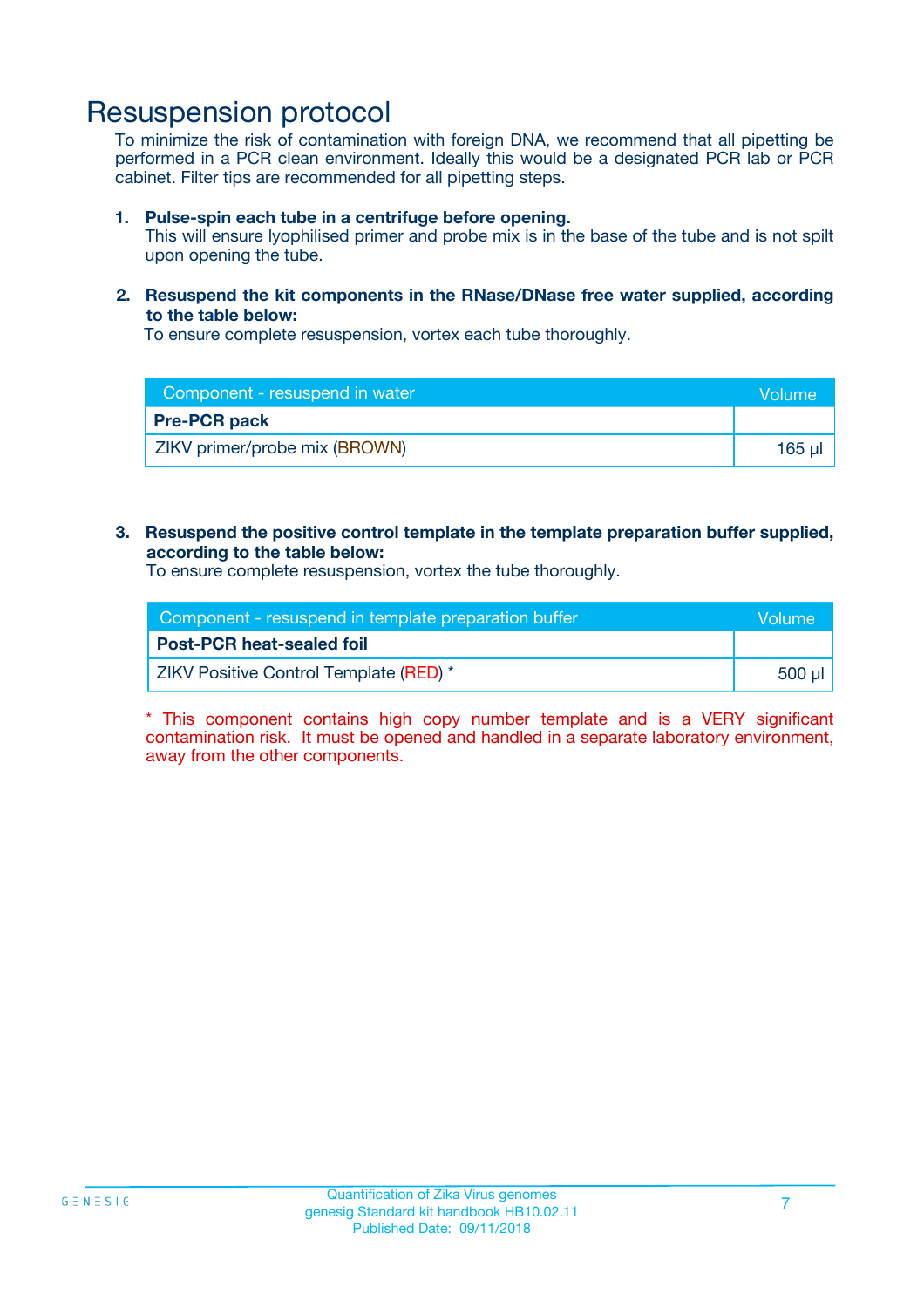### Resuspension protocol

To minimize the risk of contamination with foreign DNA, we recommend that all pipetting be performed in a PCR clean environment. Ideally this would be a designated PCR lab or PCR cabinet. Filter tips are recommended for all pipetting steps.

#### **1. Pulse-spin each tube in a centrifuge before opening.**

This will ensure lyophilised primer and probe mix is in the base of the tube and is not spilt upon opening the tube.

#### **2. Resuspend the kit components in the RNase/DNase free water supplied, according to the table below:**

To ensure complete resuspension, vortex each tube thoroughly.

| Component - resuspend in water | <b>Volume</b> |
|--------------------------------|---------------|
| <b>Pre-PCR pack</b>            |               |
| ZIKV primer/probe mix (BROWN)  | 165 µl        |

#### **3. Resuspend the positive control template in the template preparation buffer supplied, according to the table below:**

To ensure complete resuspension, vortex the tube thoroughly.

| Component - resuspend in template preparation buffer |         |
|------------------------------------------------------|---------|
| <b>Post-PCR heat-sealed foil</b>                     |         |
| ZIKV Positive Control Template (RED) *               | .500 ul |

\* This component contains high copy number template and is a VERY significant contamination risk. It must be opened and handled in a separate laboratory environment, away from the other components.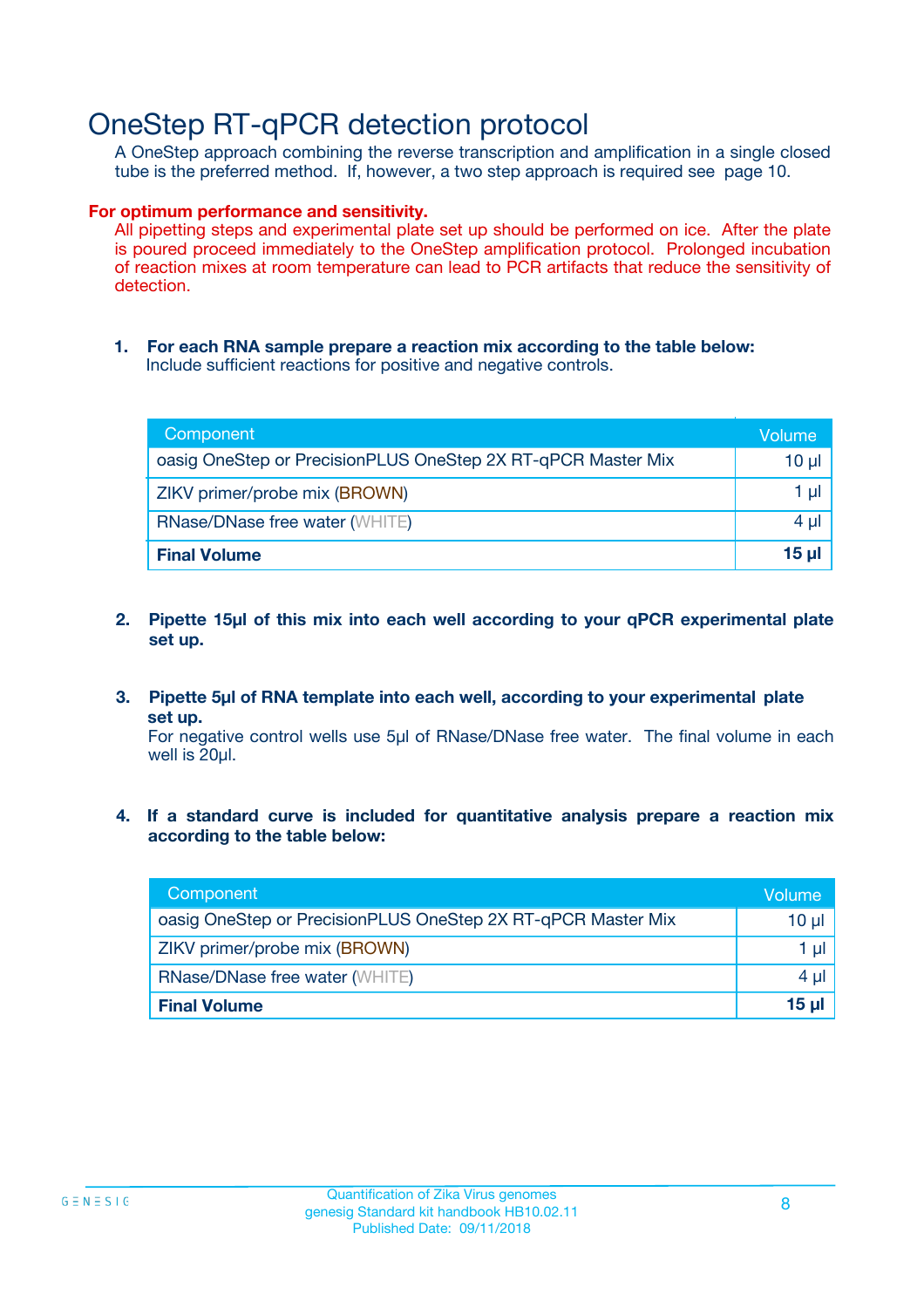### OneStep RT-qPCR detection protocol

A OneStep approach combining the reverse transcription and amplification in a single closed tube is the preferred method. If, however, a two step approach is required see page 10.

#### **For optimum performance and sensitivity.**

All pipetting steps and experimental plate set up should be performed on ice. After the plate is poured proceed immediately to the OneStep amplification protocol. Prolonged incubation of reaction mixes at room temperature can lead to PCR artifacts that reduce the sensitivity of detection.

**1. For each RNA sample prepare a reaction mix according to the table below:** Include sufficient reactions for positive and negative controls.

| Component                                                    | Volume     |
|--------------------------------------------------------------|------------|
| oasig OneStep or PrecisionPLUS OneStep 2X RT-qPCR Master Mix | $10 \mu$   |
| ZIKV primer/probe mix (BROWN)                                | 1 µl       |
| <b>RNase/DNase free water (WHITE)</b>                        | 4 µl       |
| <b>Final Volume</b>                                          | $15$ $\mu$ |

- **2. Pipette 15µl of this mix into each well according to your qPCR experimental plate set up.**
- **3. Pipette 5µl of RNA template into each well, according to your experimental plate set up.**

For negative control wells use 5µl of RNase/DNase free water. The final volume in each well is 20ul.

**4. If a standard curve is included for quantitative analysis prepare a reaction mix according to the table below:**

| Component                                                    | Volume |
|--------------------------------------------------------------|--------|
| oasig OneStep or PrecisionPLUS OneStep 2X RT-qPCR Master Mix | 10 µl  |
| ZIKV primer/probe mix (BROWN)                                | 1 µl   |
| <b>RNase/DNase free water (WHITE)</b>                        | 4 µl   |
| <b>Final Volume</b>                                          | 15 µl  |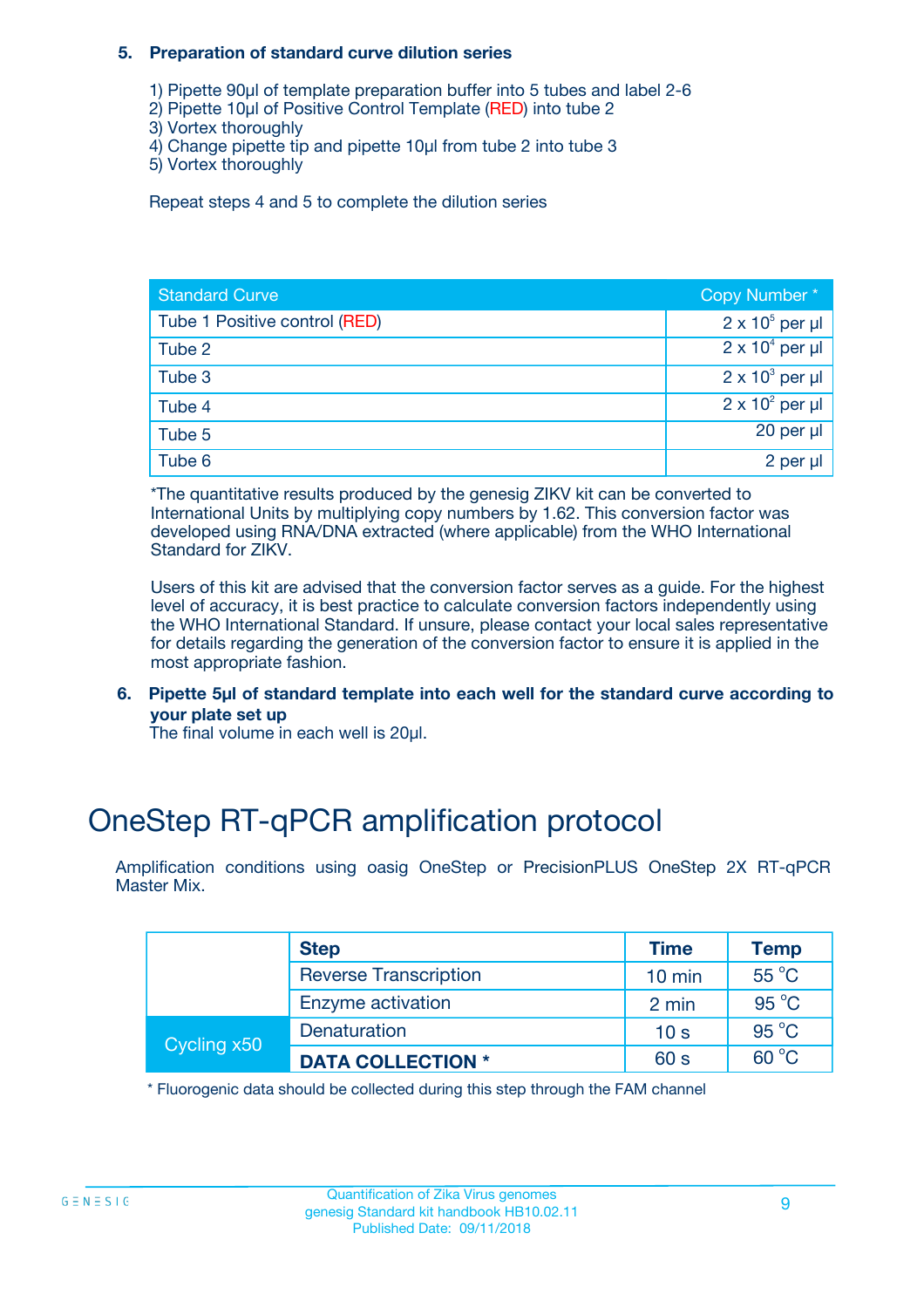#### **5. Preparation of standard curve dilution series**

- 1) Pipette 90µl of template preparation buffer into 5 tubes and label 2-6
- 2) Pipette 10µl of Positive Control Template (RED) into tube 2
- 3) Vortex thoroughly
- 4) Change pipette tip and pipette 10µl from tube 2 into tube 3
- 5) Vortex thoroughly

Repeat steps 4 and 5 to complete the dilution series

| <b>Standard Curve</b>         | Copy Number*           |
|-------------------------------|------------------------|
| Tube 1 Positive control (RED) | $2 \times 10^5$ per µl |
| Tube 2                        | $2 \times 10^4$ per µl |
| Tube 3                        | $2 \times 10^3$ per µl |
| Tube 4                        | $2 \times 10^2$ per µl |
| Tube 5                        | 20 per µl              |
| Tube 6                        | 2 per µl               |

\*The quantitative results produced by the genesig ZIKV kit can be converted to International Units by multiplying copy numbers by 1.62. This conversion factor was developed using RNA/DNA extracted (where applicable) from the WHO International Standard for ZIKV.

Users of this kit are advised that the conversion factor serves as a guide. For the highest level of accuracy, it is best practice to calculate conversion factors independently using the WHO International Standard. If unsure, please contact your local sales representative for details regarding the generation of the conversion factor to ensure it is applied in the most appropriate fashion.

**6. Pipette 5µl of standard template into each well for the standard curve according to your plate set up**

The final volume in each well is 20ul.

## OneStep RT-qPCR amplification protocol

Amplification conditions using oasig OneStep or PrecisionPLUS OneStep 2X RT-qPCR Master Mix.

|             | <b>Step</b>                  | <b>Time</b>      | <b>Temp</b>    |
|-------------|------------------------------|------------------|----------------|
|             | <b>Reverse Transcription</b> | $10 \text{ min}$ | 55 °C          |
|             | Enzyme activation            | 2 min            | $95^{\circ}$ C |
| Cycling x50 | Denaturation                 | 10 <sub>s</sub>  | $95^{\circ}$ C |
|             | <b>DATA COLLECTION *</b>     | 60 s             | $60^{\circ}$ C |

\* Fluorogenic data should be collected during this step through the FAM channel